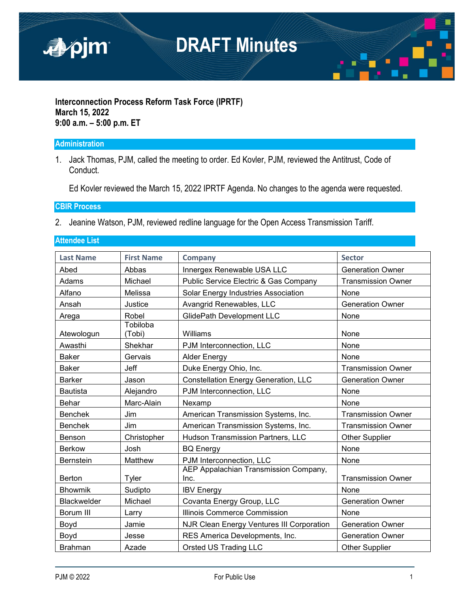

#### **Interconnection Process Reform Task Force (IPRTF) March 15, 2022 9:00 a.m. – 5:00 p.m. ET**

#### **Administration**

1. Jack Thomas, PJM, called the meeting to order. Ed Kovler, PJM, reviewed the Antitrust, Code of Conduct.

Ed Kovler reviewed the March 15, 2022 IPRTF Agenda. No changes to the agenda were requested.

#### **CBIR Process**

2. Jeanine Watson, PJM, reviewed redline language for the Open Access Transmission Tariff.

#### **Attendee List**

| <b>Last Name</b>   | <b>First Name</b>  | <b>Company</b>                                | <b>Sector</b>             |
|--------------------|--------------------|-----------------------------------------------|---------------------------|
| Abed               | Abbas              | Innergex Renewable USA LLC                    | <b>Generation Owner</b>   |
| Adams              | Michael            | Public Service Electric & Gas Company         | <b>Transmission Owner</b> |
| Alfano             | Melissa            | Solar Energy Industries Association           | None                      |
| Ansah              | Justice            | Avangrid Renewables, LLC                      | <b>Generation Owner</b>   |
| Arega              | Robel              | <b>GlidePath Development LLC</b>              | None                      |
| Atewologun         | Tobiloba<br>(Tobi) | Williams                                      | None                      |
| Awasthi            | Shekhar            | PJM Interconnection, LLC                      | None                      |
| <b>Baker</b>       | Gervais            | <b>Alder Energy</b>                           | None                      |
| <b>Baker</b>       | Jeff               | Duke Energy Ohio, Inc.                        | <b>Transmission Owner</b> |
| <b>Barker</b>      | Jason              | <b>Constellation Energy Generation, LLC</b>   | <b>Generation Owner</b>   |
| <b>Bautista</b>    | Alejandro          | PJM Interconnection, LLC                      | None                      |
| Behar              | Marc-Alain         | Nexamp                                        | None                      |
| <b>Benchek</b>     | Jim                | American Transmission Systems, Inc.           | <b>Transmission Owner</b> |
| <b>Benchek</b>     | Jim                | American Transmission Systems, Inc.           | <b>Transmission Owner</b> |
| Benson             | Christopher        | Hudson Transmission Partners, LLC             | <b>Other Supplier</b>     |
| <b>Berkow</b>      | Josh               | <b>BQ Energy</b>                              | None                      |
| <b>Bernstein</b>   | Matthew            | PJM Interconnection, LLC                      | None                      |
| Berton             | Tyler              | AEP Appalachian Transmission Company,<br>Inc. | <b>Transmission Owner</b> |
| <b>Bhowmik</b>     | Sudipto            | <b>IBV Energy</b>                             | None                      |
| <b>Blackwelder</b> | Michael            | Covanta Energy Group, LLC                     | <b>Generation Owner</b>   |
| Borum III          | Larry              | Illinois Commerce Commission                  | None                      |
| Boyd               | Jamie              | NJR Clean Energy Ventures III Corporation     | <b>Generation Owner</b>   |
| Boyd               | Jesse              | RES America Developments, Inc.                | <b>Generation Owner</b>   |
| <b>Brahman</b>     | Azade              | <b>Orsted US Trading LLC</b>                  | <b>Other Supplier</b>     |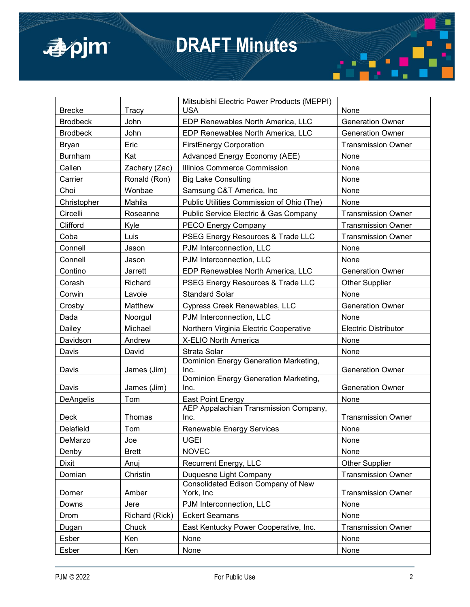

| <b>Brecke</b>   | Tracy          | Mitsubishi Electric Power Products (MEPPI)<br><b>USA</b> | None                        |
|-----------------|----------------|----------------------------------------------------------|-----------------------------|
| <b>Brodbeck</b> | John           | EDP Renewables North America, LLC                        | <b>Generation Owner</b>     |
| <b>Brodbeck</b> | John           | EDP Renewables North America, LLC                        | <b>Generation Owner</b>     |
| Bryan           | Eric           | <b>FirstEnergy Corporation</b>                           | <b>Transmission Owner</b>   |
| <b>Burnham</b>  | Kat            | Advanced Energy Economy (AEE)                            | None                        |
| Callen          | Zachary (Zac)  | Illinios Commerce Commission                             | None                        |
| Carrier         | Ronald (Ron)   | <b>Big Lake Consulting</b>                               | None                        |
| Choi            | Wonbae         | Samsung C&T America, Inc                                 | None                        |
| Christopher     | Mahila         | Public Utilities Commission of Ohio (The)                | None                        |
| Circelli        | Roseanne       | Public Service Electric & Gas Company                    | <b>Transmission Owner</b>   |
| Clifford        | Kyle           | PECO Energy Company                                      | <b>Transmission Owner</b>   |
| Coba            | Luis           | PSEG Energy Resources & Trade LLC                        | <b>Transmission Owner</b>   |
| Connell         | Jason          | PJM Interconnection, LLC                                 | None                        |
| Connell         | Jason          | PJM Interconnection, LLC                                 | None                        |
| Contino         | Jarrett        | EDP Renewables North America, LLC                        | <b>Generation Owner</b>     |
| Corash          | Richard        | PSEG Energy Resources & Trade LLC                        | <b>Other Supplier</b>       |
| Corwin          | Lavoie         | <b>Standard Solar</b>                                    | None                        |
| Crosby          | Matthew        | Cypress Creek Renewables, LLC                            | <b>Generation Owner</b>     |
| Dada            | Noorgul        | PJM Interconnection, LLC                                 | None                        |
| Dailey          | Michael        | Northern Virginia Electric Cooperative                   | <b>Electric Distributor</b> |
| Davidson        | Andrew         | X-ELIO North America                                     | None                        |
| Davis           | David          | Strata Solar                                             | None                        |
| Davis           | James (Jim)    | Dominion Energy Generation Marketing,<br>Inc.            | <b>Generation Owner</b>     |
| Davis           | James (Jim)    | Dominion Energy Generation Marketing,<br>Inc.            | <b>Generation Owner</b>     |
| DeAngelis       | Tom            | <b>East Point Energy</b>                                 | None                        |
|                 |                | AEP Appalachian Transmission Company,                    |                             |
| Deck            | Thomas         | Inc.                                                     | <b>Transmission Owner</b>   |
| Delafield       | Tom            | <b>Renewable Energy Services</b>                         | None                        |
| DeMarzo         | Joe            | <b>UGEI</b>                                              | None                        |
| Denby           | <b>Brett</b>   | <b>NOVEC</b>                                             | None                        |
| Dixit           | Anuj           | Recurrent Energy, LLC                                    | <b>Other Supplier</b>       |
| Domian          | Christin       | Duquesne Light Company                                   | <b>Transmission Owner</b>   |
| Dorner          | Amber          | Consolidated Edison Company of New<br>York, Inc          | <b>Transmission Owner</b>   |
| Downs           | Jere           | PJM Interconnection, LLC                                 | None                        |
| Drom            | Richard (Rick) | <b>Eckert Seamans</b>                                    | None                        |
| Dugan           | Chuck          | East Kentucky Power Cooperative, Inc.                    | <b>Transmission Owner</b>   |
| Esber           | Ken            | None                                                     | None                        |
| Esber           | Ken            | None                                                     | None                        |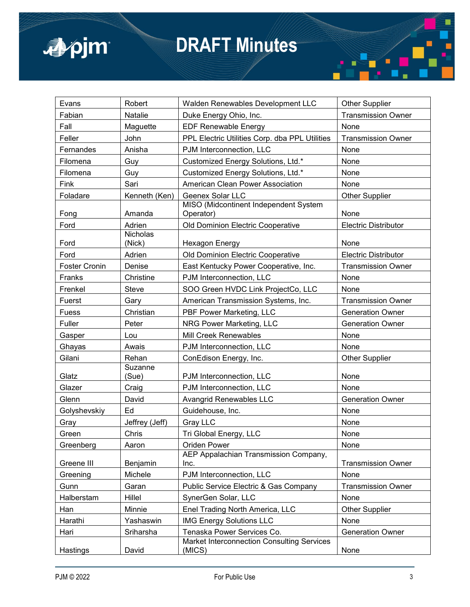

| Evans                | Robert             | Walden Renewables Development LLC                                        | <b>Other Supplier</b>       |
|----------------------|--------------------|--------------------------------------------------------------------------|-----------------------------|
| Fabian               | Natalie            | Duke Energy Ohio, Inc.                                                   | <b>Transmission Owner</b>   |
| Fall                 | Maguette           | <b>EDF Renewable Energy</b>                                              | None                        |
| Feller               | John               | PPL Electric Utilities Corp. dba PPL Utilities                           | <b>Transmission Owner</b>   |
| Fernandes            | Anisha             | PJM Interconnection, LLC                                                 | None                        |
| Filomena             | Guy                | Customized Energy Solutions, Ltd.*                                       | None                        |
| Filomena             | Guy                | Customized Energy Solutions, Ltd.*                                       | None                        |
| Fink                 | Sari               | American Clean Power Association                                         | None                        |
| Foladare             | Kenneth (Ken)      | Geenex Solar LLC                                                         | <b>Other Supplier</b>       |
|                      |                    | MISO (Midcontinent Independent System                                    |                             |
| Fong                 | Amanda             | Operator)                                                                | None                        |
| Ford                 | Adrien<br>Nicholas | Old Dominion Electric Cooperative                                        | <b>Electric Distributor</b> |
| Ford                 | (Nick)             | Hexagon Energy                                                           | None                        |
| Ford                 | Adrien             | Old Dominion Electric Cooperative                                        | <b>Electric Distributor</b> |
| <b>Foster Cronin</b> | Denise             | East Kentucky Power Cooperative, Inc.                                    | <b>Transmission Owner</b>   |
| Franks               | Christine          | PJM Interconnection, LLC                                                 | None                        |
| Frenkel              | Steve              | SOO Green HVDC Link ProjectCo, LLC                                       | None                        |
| Fuerst               | Gary               | American Transmission Systems, Inc.                                      | <b>Transmission Owner</b>   |
| <b>Fuess</b>         | Christian          | PBF Power Marketing, LLC                                                 | <b>Generation Owner</b>     |
| Fuller               | Peter              | NRG Power Marketing, LLC                                                 | <b>Generation Owner</b>     |
| Gasper               | Lou                | Mill Creek Renewables                                                    | None                        |
| Ghayas               | Awais              | PJM Interconnection, LLC                                                 | None                        |
| Gilani               | Rehan              | ConEdison Energy, Inc.                                                   | <b>Other Supplier</b>       |
|                      | Suzanne            |                                                                          |                             |
| Glatz                | (Sue)              | PJM Interconnection, LLC                                                 | None                        |
| Glazer               | Craig              | PJM Interconnection, LLC                                                 | None                        |
| Glenn                | David              | <b>Avangrid Renewables LLC</b>                                           | <b>Generation Owner</b>     |
| Golyshevskiy         | Ed                 | Guidehouse, Inc.                                                         | None                        |
| Gray                 | Jeffrey (Jeff)     | Gray LLC                                                                 | None                        |
| Green                | Chris              | Tri Global Energy, LLC                                                   | None                        |
| Greenberg            | Aaron              | Oriden Power                                                             | None                        |
|                      |                    | AEP Appalachian Transmission Company,                                    |                             |
| Greene III           | Benjamin           | Inc.                                                                     | <b>Transmission Owner</b>   |
| Greening             | Michele            | PJM Interconnection, LLC                                                 | None                        |
| Gunn                 | Garan              | Public Service Electric & Gas Company                                    | <b>Transmission Owner</b>   |
| Halberstam           | Hillel             | SynerGen Solar, LLC                                                      | None                        |
| Han                  | Minnie             | Enel Trading North America, LLC                                          | <b>Other Supplier</b>       |
| Harathi              | Yashaswin          | <b>IMG Energy Solutions LLC</b>                                          | None                        |
| Hari                 | Sriharsha          | Tenaska Power Services Co.<br>Market Interconnection Consulting Services | <b>Generation Owner</b>     |
| Hastings             | David              | (MICS)                                                                   | None                        |

 $\blacksquare$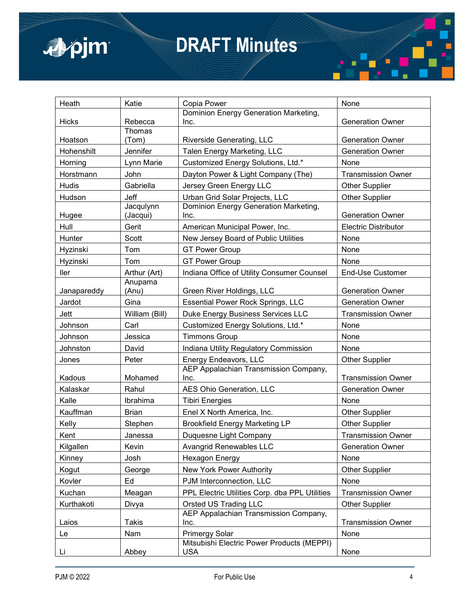

| Heath         | Katie                 | Copia Power                                              | None                        |
|---------------|-----------------------|----------------------------------------------------------|-----------------------------|
| <b>Hicks</b>  | Rebecca               | Dominion Energy Generation Marketing,<br>Inc.            | <b>Generation Owner</b>     |
|               | Thomas                |                                                          |                             |
| Hoatson       | (Tom)                 | Riverside Generating, LLC                                | <b>Generation Owner</b>     |
| Hohenshilt    | Jennifer              | Talen Energy Marketing, LLC                              | <b>Generation Owner</b>     |
| Horning       | Lynn Marie            | Customized Energy Solutions, Ltd.*                       | None                        |
| Horstmann     | John                  | Dayton Power & Light Company (The)                       | <b>Transmission Owner</b>   |
| <b>Hudis</b>  | Gabriella             | Jersey Green Energy LLC                                  | <b>Other Supplier</b>       |
| Hudson        | Jeff                  | Urban Grid Solar Projects, LLC                           | <b>Other Supplier</b>       |
| Hugee         | Jacqulynn<br>(Jacqui) | Dominion Energy Generation Marketing,<br>Inc.            | <b>Generation Owner</b>     |
| Hull          | Gerit                 | American Municipal Power, Inc.                           | <b>Electric Distributor</b> |
| <b>Hunter</b> | Scott                 | New Jersey Board of Public Utilities                     | None                        |
| Hyzinski      | Tom                   | <b>GT Power Group</b>                                    | None                        |
| Hyzinski      | Tom                   | <b>GT Power Group</b>                                    | None                        |
| ller          | Arthur (Art)          | Indiana Office of Utility Consumer Counsel               | <b>End-Use Customer</b>     |
|               | Anupama               |                                                          |                             |
| Janapareddy   | (Anu)                 | Green River Holdings, LLC                                | <b>Generation Owner</b>     |
| Jardot        | Gina                  | <b>Essential Power Rock Springs, LLC</b>                 | <b>Generation Owner</b>     |
| Jett          | William (Bill)        | Duke Energy Business Services LLC                        | <b>Transmission Owner</b>   |
| Johnson       | Carl                  | Customized Energy Solutions, Ltd.*                       | None                        |
| Johnson       | Jessica               | <b>Timmons Group</b>                                     | None                        |
| Johnston      | David                 | Indiana Utility Regulatory Commission                    | None                        |
| Jones         | Peter                 | Energy Endeavors, LLC                                    | <b>Other Supplier</b>       |
|               |                       | AEP Appalachian Transmission Company,                    |                             |
| Kadous        | Mohamed               | Inc.                                                     | <b>Transmission Owner</b>   |
| Kalaskar      | Rahul                 | AES Ohio Generation, LLC                                 | <b>Generation Owner</b>     |
| Kalle         | Ibrahima              | <b>Tibiri Energies</b>                                   | None                        |
| Kauffman      | <b>Brian</b>          | Enel X North America, Inc.                               | <b>Other Supplier</b>       |
| Kelly         | Stephen               | <b>Brookfield Energy Marketing LP</b>                    | <b>Other Supplier</b>       |
| Kent          | Janessa               | Duquesne Light Company                                   | <b>Transmission Owner</b>   |
| Kilgallen     | Kevin                 | Avangrid Renewables LLC                                  | <b>Generation Owner</b>     |
| Kinney        | Josh                  | <b>Hexagon Energy</b>                                    | None                        |
| Kogut         | George                | New York Power Authority                                 | <b>Other Supplier</b>       |
| Kovler        | Ed                    | PJM Interconnection, LLC                                 | None                        |
| Kuchan        | Meagan                | PPL Electric Utilities Corp. dba PPL Utilities           | <b>Transmission Owner</b>   |
| Kurthakoti    | Divya                 | <b>Orsted US Trading LLC</b>                             | <b>Other Supplier</b>       |
|               |                       | AEP Appalachian Transmission Company,                    |                             |
| Laios         | Takis                 | Inc.                                                     | <b>Transmission Owner</b>   |
| Le            | Nam                   | <b>Primergy Solar</b>                                    | None                        |
| Li            | Abbey                 | Mitsubishi Electric Power Products (MEPPI)<br><b>USA</b> | None                        |

 $\blacksquare$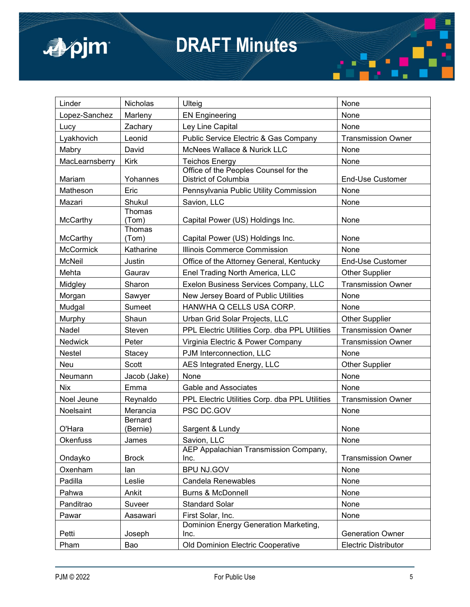

| Linder           | <b>Nicholas</b>     | Ulteig                                                        | None                        |
|------------------|---------------------|---------------------------------------------------------------|-----------------------------|
| Lopez-Sanchez    | Marleny             | <b>EN Engineering</b>                                         | None                        |
| Lucy             | Zachary             | Ley Line Capital                                              | None                        |
| Lyakhovich       | Leonid              | Public Service Electric & Gas Company                         | <b>Transmission Owner</b>   |
| Mabry            | David               | McNees Wallace & Nurick LLC                                   | None                        |
| MacLearnsberry   | <b>Kirk</b>         | <b>Teichos Energy</b>                                         | None                        |
| Mariam           | Yohannes            | Office of the Peoples Counsel for the<br>District of Columbia | <b>End-Use Customer</b>     |
| Matheson         | Eric                | Pennsylvania Public Utility Commission                        | None                        |
| Mazari           | Shukul              | Savion, LLC                                                   | None                        |
|                  | Thomas              |                                                               |                             |
| McCarthy         | (Tom)               | Capital Power (US) Holdings Inc.                              | None                        |
| McCarthy         | Thomas<br>(Tom)     | Capital Power (US) Holdings Inc.                              | None                        |
| <b>McCormick</b> | Katharine           | Illinois Commerce Commission                                  | None                        |
| <b>McNeil</b>    | Justin              | Office of the Attorney General, Kentucky                      | <b>End-Use Customer</b>     |
| Mehta            | Gaurav              | Enel Trading North America, LLC                               | <b>Other Supplier</b>       |
|                  | Sharon              | Exelon Business Services Company, LLC                         | <b>Transmission Owner</b>   |
| Midgley          |                     |                                                               |                             |
| Morgan           | Sawyer              | New Jersey Board of Public Utilities                          | None                        |
| Mudgal           | Sumeet              | HANWHA Q CELLS USA CORP.                                      | None                        |
| Murphy           | Shaun               | Urban Grid Solar Projects, LLC                                | <b>Other Supplier</b>       |
| Nadel            | Steven              | PPL Electric Utilities Corp. dba PPL Utilities                | <b>Transmission Owner</b>   |
| Nedwick          | Peter               | Virginia Electric & Power Company                             | <b>Transmission Owner</b>   |
| <b>Nestel</b>    | Stacey              | PJM Interconnection, LLC                                      | None                        |
| <b>Neu</b>       | Scott               | AES Integrated Energy, LLC                                    | <b>Other Supplier</b>       |
| Neumann          | Jacob (Jake)        | None                                                          | None                        |
| <b>Nix</b>       | Emma                | Gable and Associates                                          | None                        |
| Noel Jeune       | Reynaldo            | PPL Electric Utilities Corp. dba PPL Utilities                | <b>Transmission Owner</b>   |
| Noelsaint        | Merancia            | PSC DC.GOV                                                    | None                        |
| O'Hara           | Bernard<br>(Bernie) | Sargent & Lundy                                               | None                        |
| <b>Okenfuss</b>  | James               | Savion, LLC                                                   | None                        |
|                  |                     | AEP Appalachian Transmission Company,                         |                             |
| Ondayko          | <b>Brock</b>        | Inc.                                                          | <b>Transmission Owner</b>   |
| Oxenham          | lan                 | BPU NJ.GOV                                                    | None                        |
| Padilla          | Leslie              | <b>Candela Renewables</b>                                     | None                        |
| Pahwa            | Ankit               | <b>Burns &amp; McDonnell</b>                                  | None                        |
| Panditrao        | Suveer              | <b>Standard Solar</b>                                         | None                        |
| Pawar            | Aasawari            | First Solar, Inc.                                             | None                        |
| Petti            | Joseph              | Dominion Energy Generation Marketing,<br>Inc.                 | <b>Generation Owner</b>     |
| Pham             | Bao                 | Old Dominion Electric Cooperative                             | <b>Electric Distributor</b> |
|                  |                     |                                                               |                             |

a.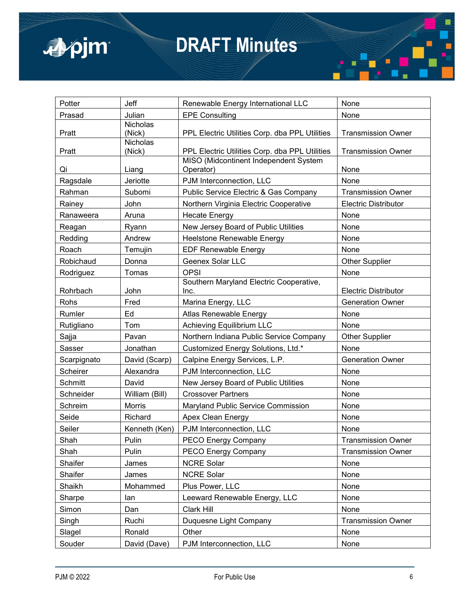

| Potter         | Jeff                      | Renewable Energy International LLC                                                      | None                        |
|----------------|---------------------------|-----------------------------------------------------------------------------------------|-----------------------------|
| Prasad         | Julian                    | <b>EPE Consulting</b>                                                                   | None                        |
| Pratt          | <b>Nicholas</b><br>(Nick) | PPL Electric Utilities Corp. dba PPL Utilities                                          | <b>Transmission Owner</b>   |
| Pratt          | <b>Nicholas</b><br>(Nick) | PPL Electric Utilities Corp. dba PPL Utilities<br>MISO (Midcontinent Independent System | <b>Transmission Owner</b>   |
| Qi             | Liang                     | Operator)                                                                               | None                        |
| Ragsdale       | Jeriotte                  | PJM Interconnection, LLC                                                                | None                        |
| Rahman         | Subomi                    | Public Service Electric & Gas Company                                                   | <b>Transmission Owner</b>   |
| Rainey         | John                      | Northern Virginia Electric Cooperative                                                  | <b>Electric Distributor</b> |
| Ranaweera      | Aruna                     | <b>Hecate Energy</b>                                                                    | None                        |
| Reagan         | Ryann                     | New Jersey Board of Public Utilities                                                    | None                        |
| Redding        | Andrew                    | Heelstone Renewable Energy                                                              | None                        |
| Roach          | Temujin                   | <b>EDF Renewable Energy</b>                                                             | None                        |
| Robichaud      | Donna                     | <b>Geenex Solar LLC</b>                                                                 | <b>Other Supplier</b>       |
| Rodriguez      | Tomas                     | <b>OPSI</b>                                                                             | None                        |
| Rohrbach       | John                      | Southern Maryland Electric Cooperative,<br>Inc.                                         | <b>Electric Distributor</b> |
| Rohs           | Fred                      | Marina Energy, LLC                                                                      | <b>Generation Owner</b>     |
| Rumler         | Ed                        | Atlas Renewable Energy                                                                  | None                        |
| Rutigliano     | Tom                       | <b>Achieving Equilibrium LLC</b>                                                        | None                        |
| Sajja          | Pavan                     | Northern Indiana Public Service Company                                                 | <b>Other Supplier</b>       |
| Sasser         | Jonathan                  | Customized Energy Solutions, Ltd.*                                                      | None                        |
| Scarpignato    | David (Scarp)             | Calpine Energy Services, L.P.                                                           | <b>Generation Owner</b>     |
| Scheirer       | Alexandra                 | PJM Interconnection, LLC                                                                | None                        |
| <b>Schmitt</b> | David                     | New Jersey Board of Public Utilities                                                    | None                        |
| Schneider      | William (Bill)            | <b>Crossover Partners</b>                                                               | None                        |
| Schreim        | Morris                    | Maryland Public Service Commission                                                      | None                        |
| Seide          | Richard                   | Apex Clean Energy                                                                       | None                        |
| Seiler         | Kenneth (Ken)             | PJM Interconnection, LLC                                                                | None                        |
| Shah           | Pulin                     | PECO Energy Company                                                                     | <b>Transmission Owner</b>   |
| Shah           | Pulin                     | PECO Energy Company                                                                     | <b>Transmission Owner</b>   |
| Shaifer        | James                     | <b>NCRE Solar</b>                                                                       | None                        |
| Shaifer        | James                     | <b>NCRE Solar</b>                                                                       | None                        |
| Shaikh         | Mohammed                  | Plus Power, LLC                                                                         | None                        |
| Sharpe         | lan                       | Leeward Renewable Energy, LLC                                                           | None                        |
| Simon          | Dan                       | Clark Hill                                                                              | None                        |
| Singh          | Ruchi                     | Duquesne Light Company                                                                  | <b>Transmission Owner</b>   |
| Slagel         | Ronald                    | Other                                                                                   | None                        |
| Souder         | David (Dave)              | PJM Interconnection, LLC                                                                | None                        |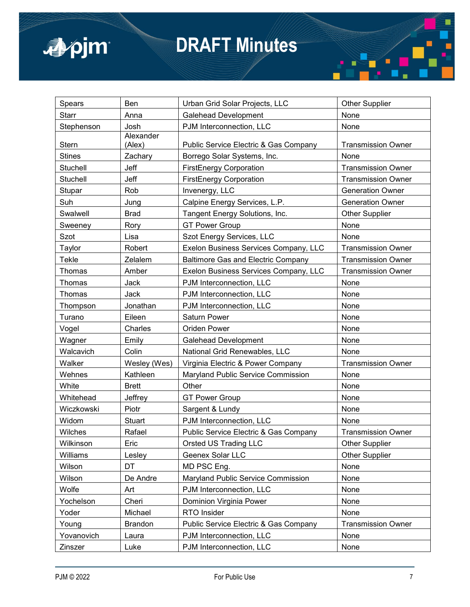

| Spears        | Ben            | Urban Grid Solar Projects, LLC            | <b>Other Supplier</b>     |
|---------------|----------------|-------------------------------------------|---------------------------|
| <b>Starr</b>  | Anna           | <b>Galehead Development</b>               | None                      |
| Stephenson    | Josh           | PJM Interconnection, LLC                  | None                      |
|               | Alexander      |                                           |                           |
| Stern         | (Alex)         | Public Service Electric & Gas Company     | <b>Transmission Owner</b> |
| <b>Stines</b> | Zachary        | Borrego Solar Systems, Inc.               | None                      |
| Stuchell      | Jeff           | <b>FirstEnergy Corporation</b>            | <b>Transmission Owner</b> |
| Stuchell      | Jeff           | <b>FirstEnergy Corporation</b>            | <b>Transmission Owner</b> |
| Stupar        | Rob            | Invenergy, LLC                            | <b>Generation Owner</b>   |
| Suh           | Jung           | Calpine Energy Services, L.P.             | <b>Generation Owner</b>   |
| Swalwell      | <b>Brad</b>    | Tangent Energy Solutions, Inc.            | <b>Other Supplier</b>     |
| Sweeney       | Rory           | <b>GT Power Group</b>                     | None                      |
| Szot          | Lisa           | Szot Energy Services, LLC                 | None                      |
| Taylor        | Robert         | Exelon Business Services Company, LLC     | <b>Transmission Owner</b> |
| Tekle         | Zelalem        | <b>Baltimore Gas and Electric Company</b> | <b>Transmission Owner</b> |
| Thomas        | Amber          | Exelon Business Services Company, LLC     | <b>Transmission Owner</b> |
| Thomas        | Jack           | PJM Interconnection, LLC                  | None                      |
| Thomas        | Jack           | PJM Interconnection, LLC                  | None                      |
| Thompson      | Jonathan       | PJM Interconnection, LLC                  | None                      |
| Turano        | Eileen         | <b>Saturn Power</b>                       | None                      |
| Vogel         | Charles        | <b>Oriden Power</b>                       | None                      |
| Wagner        | Emily          | <b>Galehead Development</b>               | None                      |
| Walcavich     | Colin          | National Grid Renewables, LLC             | None                      |
| Walker        | Wesley (Wes)   | Virginia Electric & Power Company         | <b>Transmission Owner</b> |
| Wehnes        | Kathleen       | Maryland Public Service Commission        | None                      |
| White         | <b>Brett</b>   | Other                                     | None                      |
| Whitehead     | Jeffrey        | <b>GT Power Group</b>                     | None                      |
| Wiczkowski    | Piotr          | Sargent & Lundy                           | None                      |
| Widom         | Stuart         | PJM Interconnection, LLC                  | None                      |
| Wilches       | Rafael         | Public Service Electric & Gas Company     | <b>Transmission Owner</b> |
| Wilkinson     | Eric           | <b>Orsted US Trading LLC</b>              | <b>Other Supplier</b>     |
| Williams      | Lesley         | Geenex Solar LLC                          | <b>Other Supplier</b>     |
| Wilson        | DT             | MD PSC Eng.                               | None                      |
| Wilson        | De Andre       | Maryland Public Service Commission        | None                      |
| Wolfe         | Art            | PJM Interconnection, LLC                  | None                      |
| Yochelson     | Cheri          | Dominion Virginia Power                   | None                      |
| Yoder         | Michael        | RTO Insider                               | None                      |
| Young         | <b>Brandon</b> | Public Service Electric & Gas Company     | <b>Transmission Owner</b> |
| Yovanovich    | Laura          | PJM Interconnection, LLC                  | None                      |
| Zinszer       | Luke           | PJM Interconnection, LLC                  | None                      |